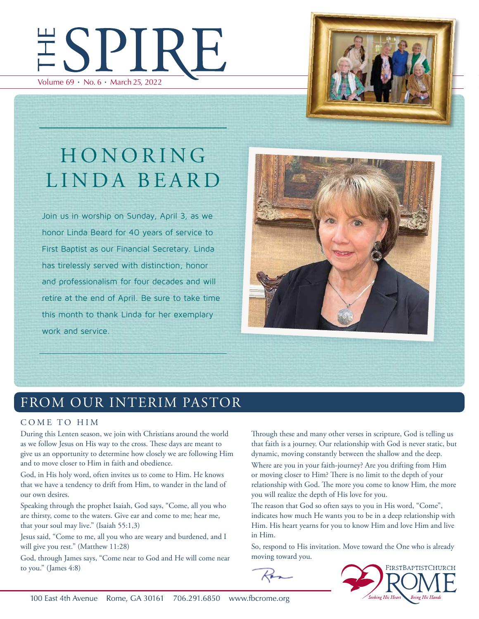



# HONORING LINDA BEARD

Join us in worship on Sunday, April 3, as we honor Linda Beard for 40 years of service to First Baptist as our Financial Secretary. Linda has tirelessly served with distinction, honor and professionalism for four decades and will retire at the end of April. Be sure to take time this month to thank Linda for her exemplary work and service.



# FROM OUR INTERIM PASTOR

#### COME TO HIM

During this Lenten season, we join with Christians around the world as we follow Jesus on His way to the cross. These days are meant to give us an opportunity to determine how closely we are following Him and to move closer to Him in faith and obedience.

God, in His holy word, often invites us to come to Him. He knows that we have a tendency to drift from Him, to wander in the land of our own desires.

Speaking through the prophet Isaiah, God says, "Come, all you who are thirsty, come to the waters. Give ear and come to me; hear me, that your soul may live." (Isaiah 55:1,3)

Jesus said, "Come to me, all you who are weary and burdened, and I will give you rest." (Matthew 11:28)

God, through James says, "Come near to God and He will come near to you." (James 4:8)

Through these and many other verses in scripture, God is telling us that faith is a journey. Our relationship with God is never static, but dynamic, moving constantly between the shallow and the deep.

Where are you in your faith-journey? Are you drifting from Him or moving closer to Him? There is no limit to the depth of your relationship with God. The more you come to know Him, the more you will realize the depth of His love for you.

The reason that God so often says to you in His word, "Come", indicates how much He wants you to be in a deep relationship with Him. His heart yearns for you to know Him and love Him and live in Him.

So, respond to His invitation. Move toward the One who is already moving toward you.



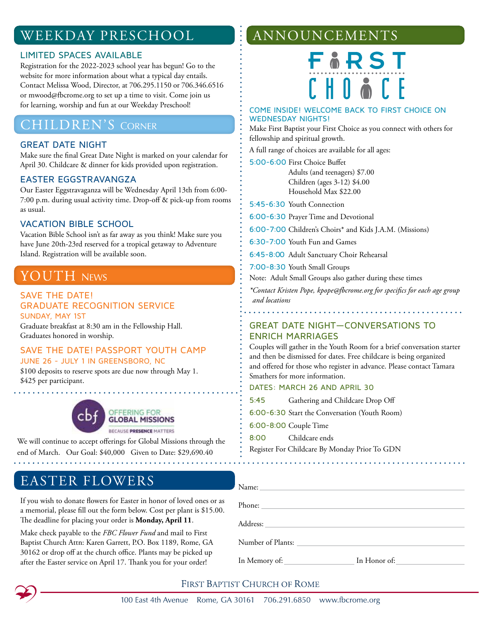# WEEKDAY PRESCHOOL

#### LIMITED SPACES AVAILABLE

Registration for the 2022-2023 school year has begun! Go to the website for more information about what a typical day entails. Contact Melissa Wood, Director, at 706.295.1150 or 706.346.6516 or mwood@fbcrome.org to set up a time to visit. Come join us for learning, worship and fun at our Weekday Preschool!

### **CHILDREN'S CORNER**

#### GREAT DATE NIGHT

Make sure the final Great Date Night is marked on your calendar for April 30. Childcare & dinner for kids provided upon registration.

#### EASTER EGGSTRAVANGZA

Our Easter Eggstravaganza will be Wednesday April 13th from 6:00- 7:00 p.m. during usual activity time. Drop-off & pick-up from rooms as usual.

#### VACATION BIBLE SCHOOL

Vacation Bible School isn't as far away as you think! Make sure you have June 20th-23rd reserved for a tropical getaway to Adventure Island. Registration will be available soon.

## **YOUTH NEWS**

#### SAVE THE DATE! GRADUATE RECOGNITION SERVICE SUNDAY, MAY 1ST

Graduate breakfast at 8:30 am in the Fellowship Hall. Graduates honored in worship.

#### SAVE THE DATE! PASSPORT YOUTH CAMP JUNE 26 - JULY 1 IN GREENSBORO, NC

\$100 deposits to reserve spots are due now through May 1. \$425 per participant.



We will continue to accept offerings for Global Missions through the end of March. Our Goal: \$40,000 Given to Date: \$29,690.40

### EASTER FLOWERS

If you wish to donate flowers for Easter in honor of loved ones or as a memorial, please fill out the form below. Cost per plant is \$15.00. The deadline for placing your order is **Monday, April 11**.

Make check payable to the *FBC Flower Fund* and mail to First Baptist Church Attn: Karen Garrett, P.O. Box 1189, Rome, GA 30162 or drop off at the church office. Plants may be picked up after the Easter service on April 17. Thank you for your order!

# ANNOUNCEMENTS

FIRST  $F$   $H$   $R$   $\delta$   $F$   $F$ 

#### COME INSIDE! WELCOME BACK TO FIRST CHOICE ON WEDNESDAY NIGHTS!

Make First Baptist your First Choice as you connect with others for fellowship and spiritual growth.

A full range of choices are available for all ages:

5:00-6:00 First Choice Buffet Adults (and teenagers) \$7.00 Children (ages 3-12) \$4.00 Household Max \$22.00

5:45-6:30 Youth Connection

6:00-6:30 Prayer Time and Devotional

6:00-7:00 Children's Choirs\* and Kids J.A.M. (Missions)

6:30-7:00 Youth Fun and Games

6:45-8:00 Adult Sanctuary Choir Rehearsal

7:00-8:30 Youth Small Groups

Note: Adult Small Groups also gather during these times

*\*Contact Kristen Pope, kpope@fbcrome.org for specifics for each age group and locations*

#### GREAT DATE NIGHT—CONVERSATIONS TO ENRICH MARRIAGES

Couples will gather in the Youth Room for a brief conversation starter and then be dismissed for dates. Free childcare is being organized and offered for those who register in advance. Please contact Tamara Smathers for more information.

#### DATES: MARCH 26 AND APRIL 30

5:45 Gathering and Childcare Drop Off

6:00-6:30 Start the Conversation (Youth Room)

6:00-8:00 Couple Time

8:00 Childcare ends

Register For Childcare By Monday Prior To GDN

| Name:             |  |
|-------------------|--|
| Phone:            |  |
|                   |  |
|                   |  |
| Number of Plants: |  |
|                   |  |



#### **FIRST BAPTIST CHURCH OF ROME**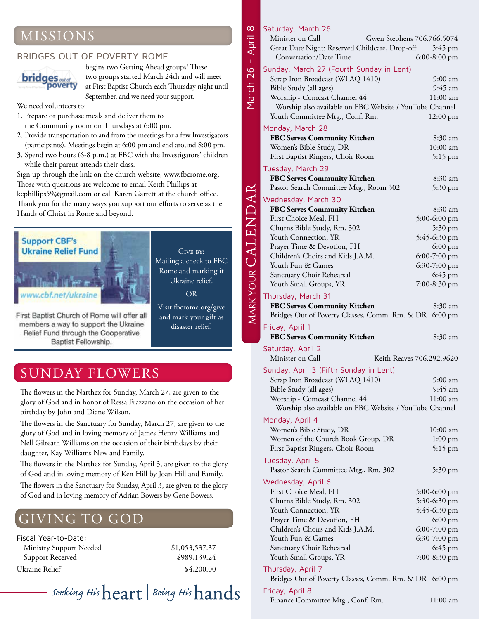# MISSIONS

#### BRIDGES OUT OF POVERTY ROME



begins two Getting Ahead groups! These two groups started March 24th and will meet at First Baptist Church each Thursday night until September, and we need your support.

We need volunteers to:

- 1. Prepare or purchase meals and deliver them to the Community room on Thursdays at 6:00 pm.
- 2. Provide transportation to and from the meetings for a few Investigators (participants). Meetings begin at 6:00 pm and end around 8:00 pm.
- 3. Spend two hours (6-8 p.m.) at FBC with the Investigators' children while their parent attends their class.

Sign up through the link on the church website, www.fbcrome.org. Those with questions are welcome to email Keith Phillips at kcphillips59@gmail.com or call Karen Garrett at the church office. Thank you for the many ways you support our efforts to serve as the Hands of Christ in Rome and beyond.



Mailing a check to FBC Rome and marking it Ukraine relief. OR

GIVE BY:

Visit fbcrome.org/give First Baptist Church of Rome will offer all and mark your gift as members a way to support the Ukraine disaster relief. Relief Fund through the Cooperative

SUNDAY FLOWERS

Baptist Fellowship.

The flowers in the Narthex for Sunday, March 27, are given to the glory of God and in honor of Ressa Frazzano on the occasion of her birthday by John and Diane Wilson.

The flowers in the Sanctuary for Sunday, March 27, are given to the glory of God and in loving memory of James Henry Williams and Nell Gilreath Williams on the occasion of their birthdays by their daughter, Kay Williams New and Family.

The flowers in the Narthex for Sunday, April 3, are given to the glory of God and in loving memory of Ken Hill by Joan Hill and Family. The flowers in the Sanctuary for Sunday, April 3, are given to the glory of God and in loving memory of Adrian Bowers by Gene Bowers.

# GIVING TO GOD

Fiscal Year-to-Date: Ministry Support Needed \$1,053,537.37 Support Received \$989,139.24 Ukraine Relief  $$4,200.00$ 

# - seeking His ${\rm heart}$  | Being His ${\rm hands}$

#### Saturday, March 26

March 26 - April 8

March 26 - April

MARK YOUR CALENDAR

 $\infty$ 

| Saturuay, march zo                                      |                           |
|---------------------------------------------------------|---------------------------|
| Minister on Call<br>Gwen Stephens 706.766.5074          |                           |
| Great Date Night: Reserved Childcare, Drop-off 5:45 pm  |                           |
| Conversation/Date Time                                  | $6:00-8:00$ pm            |
|                                                         |                           |
| Sunday, March 27 (Fourth Sunday in Lent)                |                           |
| Scrap Iron Broadcast (WLAQ 1410)                        | $9:00$ am                 |
| Bible Study (all ages)                                  | 9:45 am                   |
| Worship - Comcast Channel 44                            | $11:00$ am                |
| Worship also available on FBC Website / YouTube Channel |                           |
|                                                         |                           |
| Youth Committee Mtg., Conf. Rm.                         | $12:00 \text{ pm}$        |
| Monday, March 28                                        |                           |
| <b>FBC Serves Community Kitchen</b>                     | 8:30 am                   |
| Women's Bible Study, DR                                 | $10:00$ am                |
| First Baptist Ringers, Choir Room                       | 5:15 pm                   |
|                                                         |                           |
| Tuesday, March 29                                       |                           |
| <b>FBC Serves Community Kitchen</b>                     | 8:30 am                   |
| Pastor Search Committee Mtg., Room 302                  | 5:30 pm                   |
|                                                         |                           |
| Wednesday, March 30                                     |                           |
| <b>FBC Serves Community Kitchen</b>                     | 8:30 am                   |
| First Choice Meal, FH                                   | 5:00-6:00 pm              |
| Churns Bible Study, Rm. 302                             | 5:30 pm                   |
| Youth Connection, YR                                    | 5:45-6:30 pm              |
| Prayer Time & Devotion, FH                              | $6:00 \text{ pm}$         |
|                                                         |                           |
| Children's Choirs and Kids J.A.M.                       | $6:00-7:00$ pm            |
| Youth Fun & Games                                       | 6:30-7:00 pm              |
| Sanctuary Choir Rehearsal                               | $6:45$ pm                 |
| Youth Small Groups, YR                                  | 7:00-8:30 pm              |
|                                                         |                           |
| Thursday, March 31                                      |                           |
| FBC Serves Community Kitchen                            | 8:30 am                   |
|                                                         |                           |
| Bridges Out of Poverty Classes, Comm. Rm. & DR 6:00 pm  |                           |
|                                                         |                           |
| Friday, April 1                                         |                           |
| FBC Serves Community Kitchen                            | 8:30 am                   |
| Saturday, April 2                                       |                           |
| Minister on Call                                        | Keith Reaves 706.292.9620 |
|                                                         |                           |
| Sunday, April 3 (Fifth Sunday in Lent)                  |                           |
| Scrap Iron Broadcast (WLAQ 1410)                        | 9:00 am                   |
| Bible Study (all ages)                                  | 9:45 am                   |
| Worship - Comcast Channel 44                            | $11:00$ am                |
| Worship also available on FBC Website / YouTube Channel |                           |
|                                                         |                           |
| Monday, April 4                                         |                           |
| Women's Bible Study, DR                                 | $10:00$ am                |
| Women of the Church Book Group, DR                      | $1:00$ pm                 |
| First Baptist Ringers, Choir Room                       | $5:15$ pm                 |
|                                                         |                           |
| Tuesday, April 5                                        |                           |
| Pastor Search Committee Mtg., Rm. 302                   | 5:30 pm                   |
| Wednesday, April 6                                      |                           |
|                                                         |                           |
| First Choice Meal, FH                                   | $5:00-6:00$ pm            |
| Churns Bible Study, Rm. 302                             | 5:30-6:30 pm              |
| Youth Connection, YR                                    | 5:45-6:30 pm              |
| Prayer Time & Devotion, FH                              | $6:00$ pm                 |
| Children's Choirs and Kids J.A.M.                       | 6:00-7:00 pm              |
| Youth Fun & Games                                       | 6:30-7:00 pm              |
|                                                         | $6:45$ pm                 |
| Sanctuary Choir Rehearsal                               |                           |
| Youth Small Groups, YR                                  | 7:00-8:30 pm              |
| Thursday, April 7                                       |                           |
| Bridges Out of Poverty Classes, Comm. Rm. & DR 6:00 pm  |                           |

Finance Committee Mtg., Conf. Rm. 11:00 am